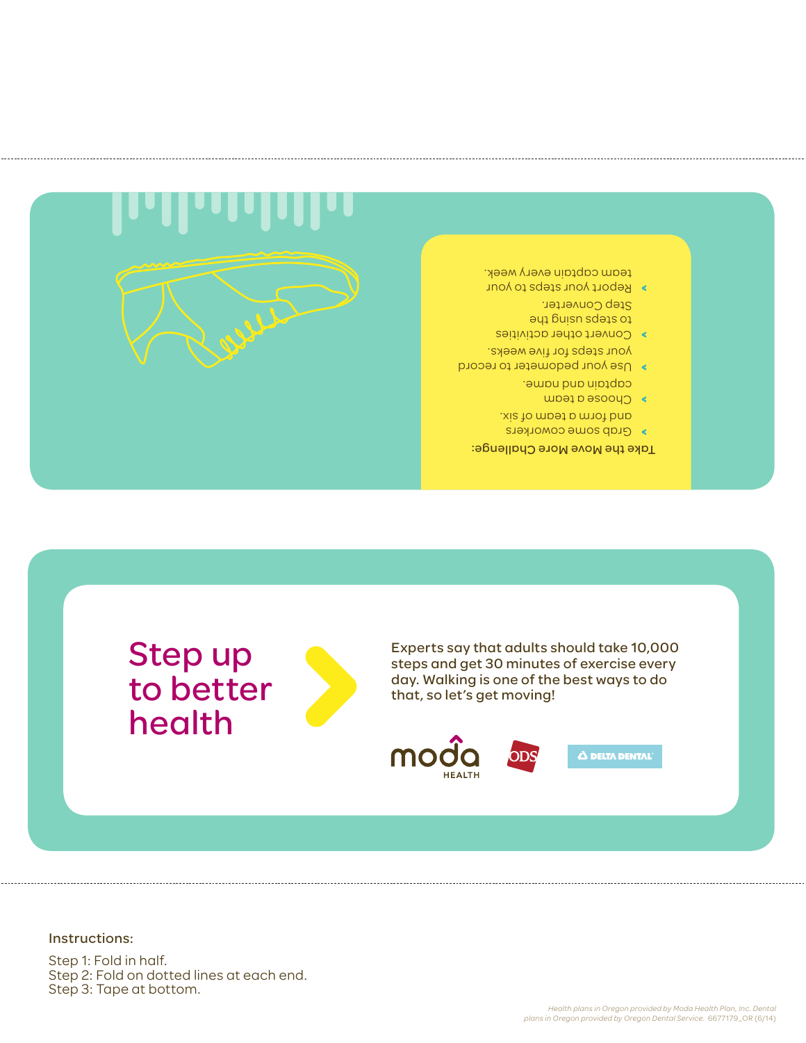Step 1: Fold in half. Step 2: Fold on dotted lines at each end. Step 3: Tape at bottom.

Instructions: